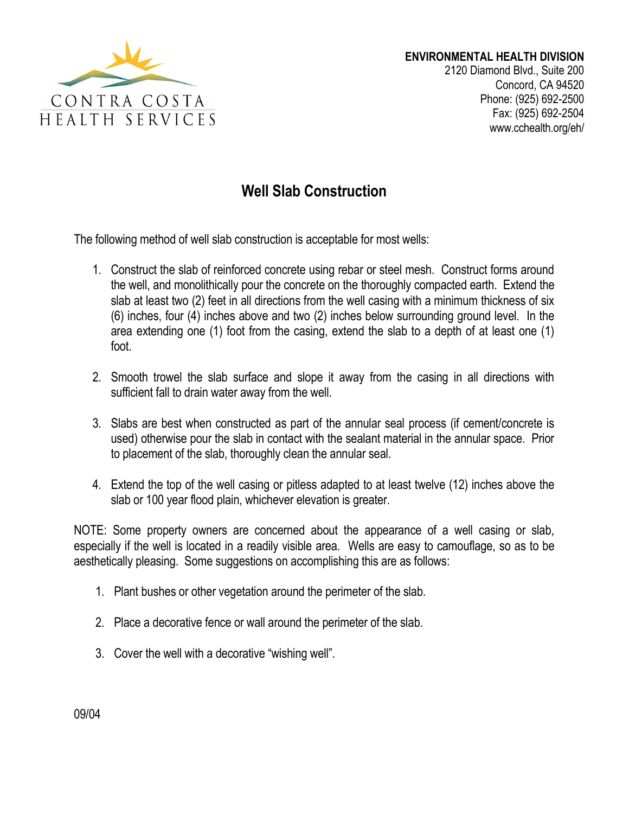

2120 Diamond Blvd., Suite 200 Concord, CA 94520 Phone: (925) 692-2500 Fax: (925) 692-2504 www.cchealth.org/eh/

## **Well Slab Construction**

The following method of well slab construction is acceptable for most wells:

- 1. Construct the slab of reinforced concrete using rebar or steel mesh. Construct forms around the well, and monolithically pour the concrete on the thoroughly compacted earth. Extend the slab at least two (2) feet in all directions from the well casing with a minimum thickness of six (6) inches, four (4) inches above and two (2) inches below surrounding ground level. In the area extending one (1) foot from the casing, extend the slab to a depth of at least one (1) foot.
- 2. Smooth trowel the slab surface and slope it away from the casing in all directions with sufficient fall to drain water away from the well.
- 3. Slabs are best when constructed as part of the annular seal process (if cement/concrete is used) otherwise pour the slab in contact with the sealant material in the annular space. Prior to placement of the slab, thoroughly clean the annular seal.
- 4. Extend the top of the well casing or pitless adapted to at least twelve (12) inches above the slab or 100 year flood plain, whichever elevation is greater.

NOTE: Some property owners are concerned about the appearance of a well casing or slab, especially if the well is located in a readily visible area. Wells are easy to camouflage, so as to be aesthetically pleasing. Some suggestions on accomplishing this are as follows:

- 1. Plant bushes or other vegetation around the perimeter of the slab.
- 2. Place a decorative fence or wall around the perimeter of the slab.
- 3. Cover the well with a decorative "wishing well".

09/04